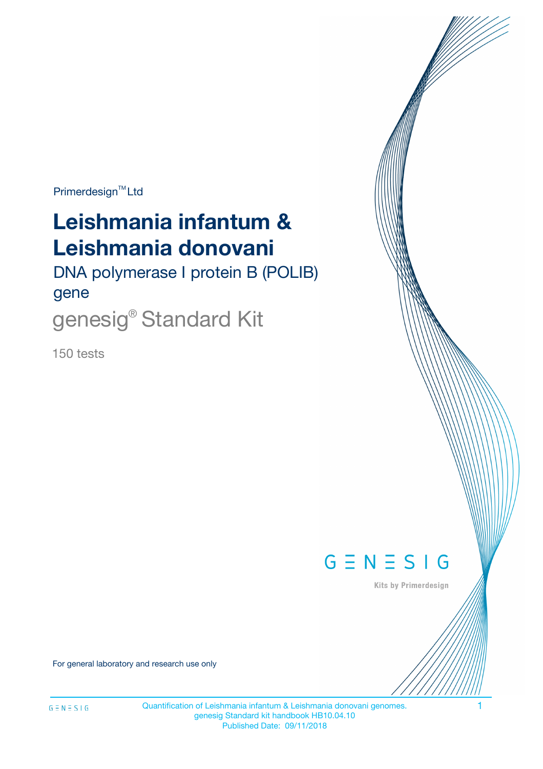Primerdesign<sup>™</sup>Ltd

# **Leishmania infantum & Leishmania donovani**

DNA polymerase I protein B (POLIB) gene

genesig<sup>®</sup> Standard Kit

150 tests



Kits by Primerdesign

For general laboratory and research use only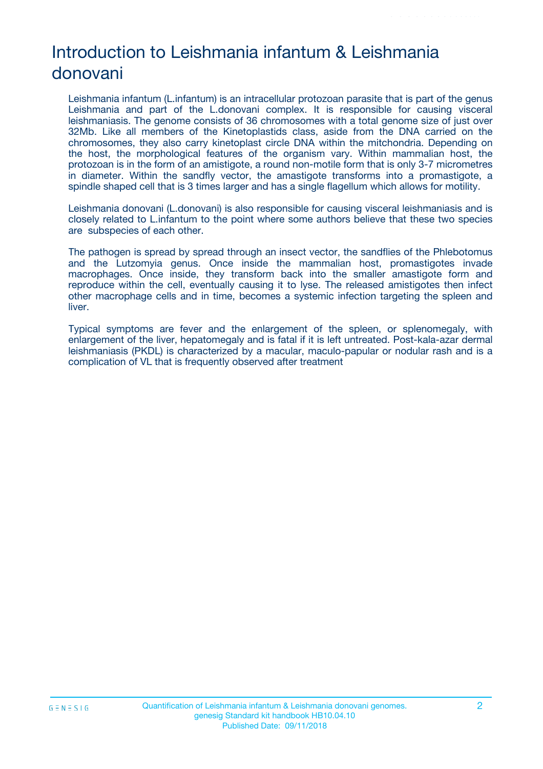# Introduction to Leishmania infantum & Leishmania donovani

Leishmania infantum (L.infantum) is an intracellular protozoan parasite that is part of the genus Leishmania and part of the L.donovani complex. It is responsible for causing visceral leishmaniasis. The genome consists of 36 chromosomes with a total genome size of just over 32Mb. Like all members of the Kinetoplastids class, aside from the DNA carried on the chromosomes, they also carry kinetoplast circle DNA within the mitchondria. Depending on the host, the morphological features of the organism vary. Within mammalian host, the protozoan is in the form of an amistigote, a round non-motile form that is only 3-7 micrometres in diameter. Within the sandfly vector, the amastigote transforms into a promastigote, a spindle shaped cell that is 3 times larger and has a single flagellum which allows for motility.

Leishmania donovani (L.donovani) is also responsible for causing visceral leishmaniasis and is closely related to L.infantum to the point where some authors believe that these two species are subspecies of each other.

The pathogen is spread by spread through an insect vector, the sandflies of the Phlebotomus and the Lutzomyia genus. Once inside the mammalian host, promastigotes invade macrophages. Once inside, they transform back into the smaller amastigote form and reproduce within the cell, eventually causing it to lyse. The released amistigotes then infect other macrophage cells and in time, becomes a systemic infection targeting the spleen and liver.

Typical symptoms are fever and the enlargement of the spleen, or splenomegaly, with enlargement of the liver, hepatomegaly and is fatal if it is left untreated. Post-kala-azar dermal leishmaniasis (PKDL) is characterized by a macular, maculo-papular or nodular rash and is a complication of VL that is frequently observed after treatment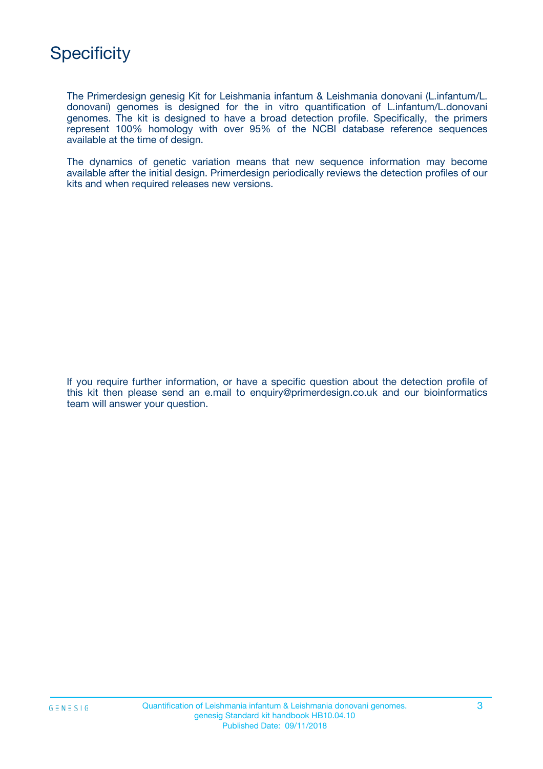

The Primerdesign genesig Kit for Leishmania infantum & Leishmania donovani (L.infantum/L. donovani) genomes is designed for the in vitro quantification of L.infantum/L.donovani genomes. The kit is designed to have a broad detection profile. Specifically, the primers represent 100% homology with over 95% of the NCBI database reference sequences available at the time of design.

The dynamics of genetic variation means that new sequence information may become available after the initial design. Primerdesign periodically reviews the detection profiles of our kits and when required releases new versions.

If you require further information, or have a specific question about the detection profile of this kit then please send an e.mail to enquiry@primerdesign.co.uk and our bioinformatics team will answer your question.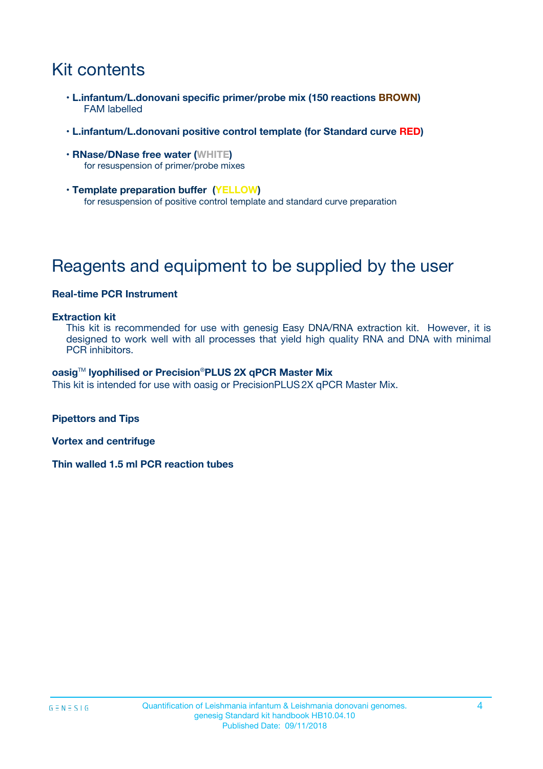# Kit contents

- **L.infantum/L.donovani specific primer/probe mix (150 reactions BROWN)** FAM labelled
- **L.infantum/L.donovani positive control template (for Standard curve RED)**
- **RNase/DNase free water (WHITE)** for resuspension of primer/probe mixes
- **Template preparation buffer (YELLOW)** for resuspension of positive control template and standard curve preparation

# Reagents and equipment to be supplied by the user

#### **Real-time PCR Instrument**

#### **Extraction kit**

This kit is recommended for use with genesig Easy DNA/RNA extraction kit. However, it is designed to work well with all processes that yield high quality RNA and DNA with minimal PCR inhibitors.

#### **oasig**TM **lyophilised or Precision**®**PLUS 2X qPCR Master Mix**

This kit is intended for use with oasig or PrecisionPLUS2X qPCR Master Mix.

**Pipettors and Tips**

**Vortex and centrifuge**

**Thin walled 1.5 ml PCR reaction tubes**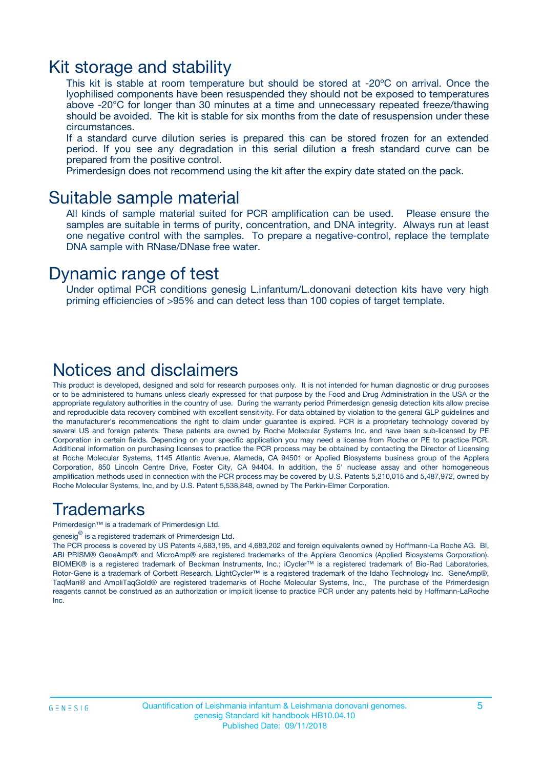### Kit storage and stability

This kit is stable at room temperature but should be stored at -20ºC on arrival. Once the lyophilised components have been resuspended they should not be exposed to temperatures above -20°C for longer than 30 minutes at a time and unnecessary repeated freeze/thawing should be avoided. The kit is stable for six months from the date of resuspension under these circumstances.

If a standard curve dilution series is prepared this can be stored frozen for an extended period. If you see any degradation in this serial dilution a fresh standard curve can be prepared from the positive control.

Primerdesign does not recommend using the kit after the expiry date stated on the pack.

### Suitable sample material

All kinds of sample material suited for PCR amplification can be used. Please ensure the samples are suitable in terms of purity, concentration, and DNA integrity. Always run at least one negative control with the samples. To prepare a negative-control, replace the template DNA sample with RNase/DNase free water.

### Dynamic range of test

Under optimal PCR conditions genesig L.infantum/L.donovani detection kits have very high priming efficiencies of >95% and can detect less than 100 copies of target template.

### Notices and disclaimers

This product is developed, designed and sold for research purposes only. It is not intended for human diagnostic or drug purposes or to be administered to humans unless clearly expressed for that purpose by the Food and Drug Administration in the USA or the appropriate regulatory authorities in the country of use. During the warranty period Primerdesign genesig detection kits allow precise and reproducible data recovery combined with excellent sensitivity. For data obtained by violation to the general GLP guidelines and the manufacturer's recommendations the right to claim under guarantee is expired. PCR is a proprietary technology covered by several US and foreign patents. These patents are owned by Roche Molecular Systems Inc. and have been sub-licensed by PE Corporation in certain fields. Depending on your specific application you may need a license from Roche or PE to practice PCR. Additional information on purchasing licenses to practice the PCR process may be obtained by contacting the Director of Licensing at Roche Molecular Systems, 1145 Atlantic Avenue, Alameda, CA 94501 or Applied Biosystems business group of the Applera Corporation, 850 Lincoln Centre Drive, Foster City, CA 94404. In addition, the 5' nuclease assay and other homogeneous amplification methods used in connection with the PCR process may be covered by U.S. Patents 5,210,015 and 5,487,972, owned by Roche Molecular Systems, Inc, and by U.S. Patent 5,538,848, owned by The Perkin-Elmer Corporation.

### Trademarks

Primerdesign™ is a trademark of Primerdesign Ltd.

genesig $^\circledR$  is a registered trademark of Primerdesign Ltd.

The PCR process is covered by US Patents 4,683,195, and 4,683,202 and foreign equivalents owned by Hoffmann-La Roche AG. BI, ABI PRISM® GeneAmp® and MicroAmp® are registered trademarks of the Applera Genomics (Applied Biosystems Corporation). BIOMEK® is a registered trademark of Beckman Instruments, Inc.; iCycler™ is a registered trademark of Bio-Rad Laboratories, Rotor-Gene is a trademark of Corbett Research. LightCycler™ is a registered trademark of the Idaho Technology Inc. GeneAmp®, TaqMan® and AmpliTaqGold® are registered trademarks of Roche Molecular Systems, Inc., The purchase of the Primerdesign reagents cannot be construed as an authorization or implicit license to practice PCR under any patents held by Hoffmann-LaRoche Inc.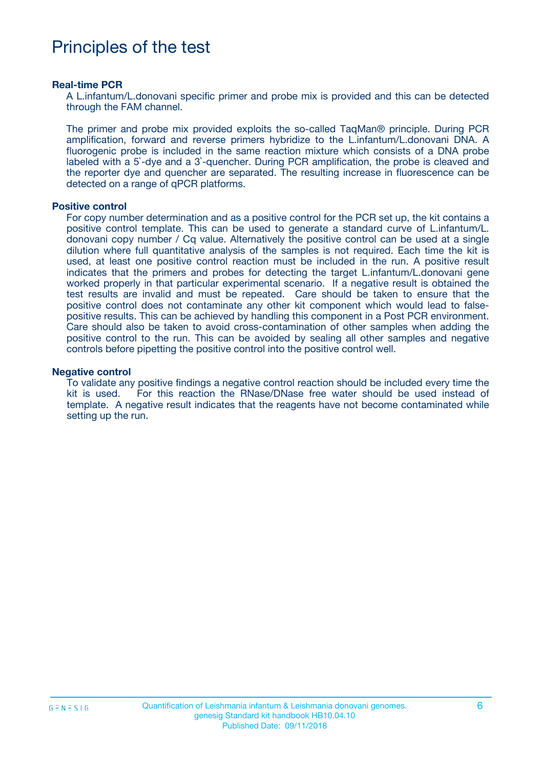## Principles of the test

#### **Real-time PCR**

A L.infantum/L.donovani specific primer and probe mix is provided and this can be detected through the FAM channel.

The primer and probe mix provided exploits the so-called TaqMan® principle. During PCR amplification, forward and reverse primers hybridize to the L.infantum/L.donovani DNA. A fluorogenic probe is included in the same reaction mixture which consists of a DNA probe labeled with a 5`-dye and a 3`-quencher. During PCR amplification, the probe is cleaved and the reporter dye and quencher are separated. The resulting increase in fluorescence can be detected on a range of qPCR platforms.

#### **Positive control**

For copy number determination and as a positive control for the PCR set up, the kit contains a positive control template. This can be used to generate a standard curve of L.infantum/L. donovani copy number / Cq value. Alternatively the positive control can be used at a single dilution where full quantitative analysis of the samples is not required. Each time the kit is used, at least one positive control reaction must be included in the run. A positive result indicates that the primers and probes for detecting the target L.infantum/L.donovani gene worked properly in that particular experimental scenario. If a negative result is obtained the test results are invalid and must be repeated. Care should be taken to ensure that the positive control does not contaminate any other kit component which would lead to falsepositive results. This can be achieved by handling this component in a Post PCR environment. Care should also be taken to avoid cross-contamination of other samples when adding the positive control to the run. This can be avoided by sealing all other samples and negative controls before pipetting the positive control into the positive control well.

#### **Negative control**

To validate any positive findings a negative control reaction should be included every time the kit is used. For this reaction the RNase/DNase free water should be used instead of template. A negative result indicates that the reagents have not become contaminated while setting up the run.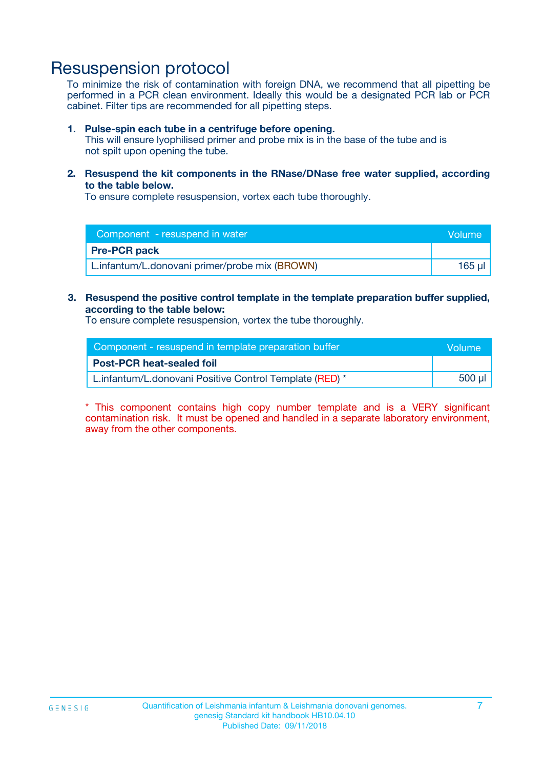### Resuspension protocol

To minimize the risk of contamination with foreign DNA, we recommend that all pipetting be performed in a PCR clean environment. Ideally this would be a designated PCR lab or PCR cabinet. Filter tips are recommended for all pipetting steps.

#### **1. Pulse-spin each tube in a centrifuge before opening.**

This will ensure lyophilised primer and probe mix is in the base of the tube and is not spilt upon opening the tube.

**2. Resuspend the kit components in the RNase/DNase free water supplied, according to the table below.**

To ensure complete resuspension, vortex each tube thoroughly.

| Component - resuspend in water                 | <b>Nolume</b> |
|------------------------------------------------|---------------|
| <b>Pre-PCR pack</b>                            |               |
| L.infantum/L.donovani primer/probe mix (BROWN) | $165$ ul      |

**3. Resuspend the positive control template in the template preparation buffer supplied, according to the table below:**

To ensure complete resuspension, vortex the tube thoroughly.

| Component - resuspend in template preparation buffer    |             |  |
|---------------------------------------------------------|-------------|--|
| <b>Post-PCR heat-sealed foil</b>                        |             |  |
| L.infantum/L.donovani Positive Control Template (RED) * | $500$ $\mu$ |  |

\* This component contains high copy number template and is a VERY significant contamination risk. It must be opened and handled in a separate laboratory environment, away from the other components.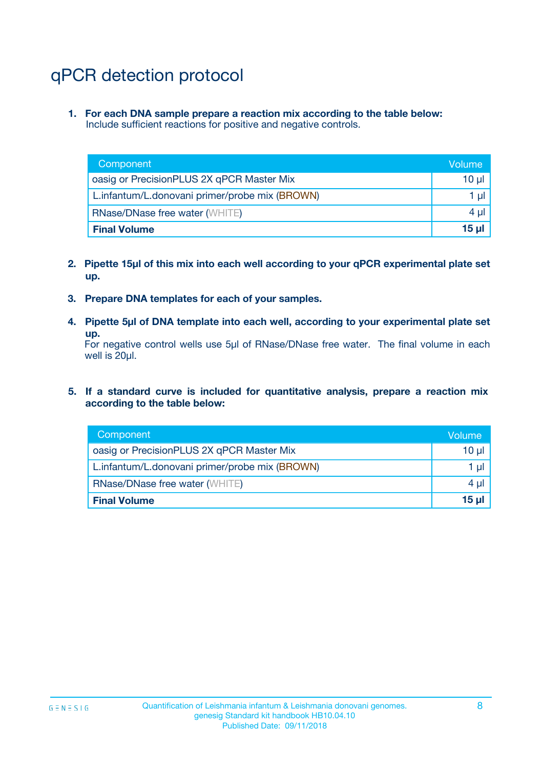# qPCR detection protocol

**1. For each DNA sample prepare a reaction mix according to the table below:** Include sufficient reactions for positive and negative controls.

| Component                                      | Volume   |
|------------------------------------------------|----------|
| oasig or PrecisionPLUS 2X qPCR Master Mix      | $10 \mu$ |
| L.infantum/L.donovani primer/probe mix (BROWN) | 1 µl     |
| <b>RNase/DNase free water (WHITE)</b>          | $4 \mu$  |
| <b>Final Volume</b>                            | 15 ul    |

- **2. Pipette 15µl of this mix into each well according to your qPCR experimental plate set up.**
- **3. Prepare DNA templates for each of your samples.**
- **4. Pipette 5µl of DNA template into each well, according to your experimental plate set up.**

For negative control wells use 5µl of RNase/DNase free water. The final volume in each well is 20µl.

**5. If a standard curve is included for quantitative analysis, prepare a reaction mix according to the table below:**

| Component                                      | Volume     |
|------------------------------------------------|------------|
| oasig or PrecisionPLUS 2X qPCR Master Mix      | $10 \mu$   |
| L.infantum/L.donovani primer/probe mix (BROWN) | 1 µI       |
| <b>RNase/DNase free water (WHITE)</b>          | $4 \mu$    |
| <b>Final Volume</b>                            | $15$ $\mu$ |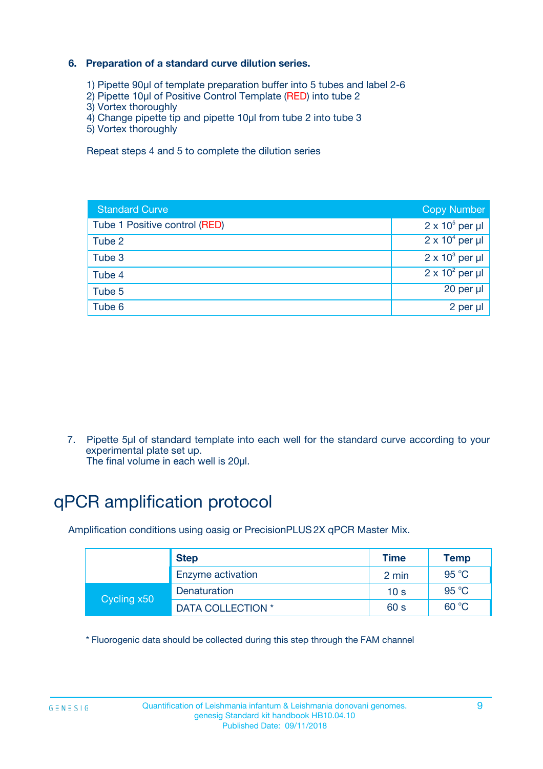### **6. Preparation of a standard curve dilution series.**

- 1) Pipette 90µl of template preparation buffer into 5 tubes and label 2-6
- 2) Pipette 10µl of Positive Control Template (RED) into tube 2
- 3) Vortex thoroughly
- 4) Change pipette tip and pipette 10µl from tube 2 into tube 3
- 5) Vortex thoroughly

Repeat steps 4 and 5 to complete the dilution series

| <b>Standard Curve</b>         | <b>Copy Number</b>     |
|-------------------------------|------------------------|
| Tube 1 Positive control (RED) | $2 \times 10^5$ per µl |
| Tube 2                        | $2 \times 10^4$ per µl |
| Tube 3                        | $2 \times 10^3$ per µl |
| Tube 4                        | $2 \times 10^2$ per µl |
| Tube 5                        | 20 per µl              |
| Tube 6                        | $2$ per $\mu$          |

7. Pipette 5µl of standard template into each well for the standard curve according to your experimental plate set up.

The final volume in each well is 20µl.

# qPCR amplification protocol

Amplification conditions using oasig or PrecisionPLUS2X qPCR Master Mix.

| <b>Step</b> |                   | <b>Time</b>     | Temp           |
|-------------|-------------------|-----------------|----------------|
|             | Enzyme activation | 2 min           | $95^{\circ}$ C |
| Cycling x50 | Denaturation      | 10 <sub>s</sub> | 95 $°C$        |
|             | DATA COLLECTION * | 60 s            | 60 °C          |

\* Fluorogenic data should be collected during this step through the FAM channel